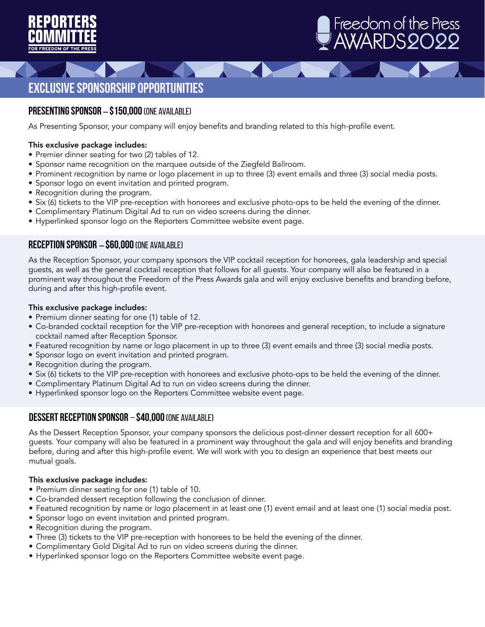



## **Exclusive Sponsorship Opportunities**

#### **Presenting Sponsor** – **\$150,000**(One Available)

As Presenting Sponsor, your company will enjoy benefits and branding related to this high-profile event.

#### This exclusive package includes:

- Premier dinner seating for two (2) tables of 12.
- Sponsor name recognition on the marquee outside of the Ziegfeld Ballroom.
- Prominent recognition by name or logo placement in up to three (3) event emails and three (3) social media posts.
- Sponsor logo on event invitation and printed program.
- Recognition during the program.
- Six (6) tickets to the VIP pre-reception with honorees and exclusive photo-ops to be held the evening of the dinner.
- Complimentary Platinum Digital Ad to run on video screens during the dinner.
- Hyperlinked sponsor logo on the Reporters Committee website event page.

#### **Reception Sponsor** – **\$60,000** (One Available)

As the Reception Sponsor, your company sponsors the VIP cocktail reception for honorees, gala leadership and special guests, as well as the general cocktail reception that follows for all guests. Your company will also be featured in a prominent way throughout the Freedom of the Press Awards gala and will enjoy exclusive benefits and branding before, during and after this high-profile event.

#### This exclusive package includes:

- Premium dinner seating for one (1) table of 12.
- Co-branded cocktail reception for the VIP pre-reception with honorees and general reception, to include a signature cocktail named after Reception Sponsor.
- Featured recognition by name or logo placement in up to three (3) event emails and three (3) social media posts.
- Sponsor logo on event invitation and printed program.
- Recognition during the program.
- Six (6) tickets to the VIP pre-reception with honorees and exclusive photo-ops to be held the evening of the dinner.
- Complimentary Platinum Digital Ad to run on video screens during the dinner.
- Hyperlinked sponsor logo on the Reporters Committee website event page.

#### **Dessert Reception Sponsor** – **\$40,000** (One Available)

As the Dessert Reception Sponsor, your company sponsors the delicious post-dinner dessert reception for all 600+ guests. Your company will also be featured in a prominent way throughout the gala and will enjoy benefits and branding before, during and after this high-profile event. We will work with you to design an experience that best meets our mutual goals.

#### This exclusive package includes:

- Premium dinner seating for one (1) table of 10.
- Co-branded dessert reception following the conclusion of dinner.
- Featured recognition by name or logo placement in at least one (1) event email and at least one (1) social media post.
- Sponsor logo on event invitation and printed program.
- Recognition during the program.
- Three (3) tickets to the VIP pre-reception with honorees to be held the evening of the dinner.
- Complimentary Gold Digital Ad to run on video screens during the dinner.
- Hyperlinked sponsor logo on the Reporters Committee website event page.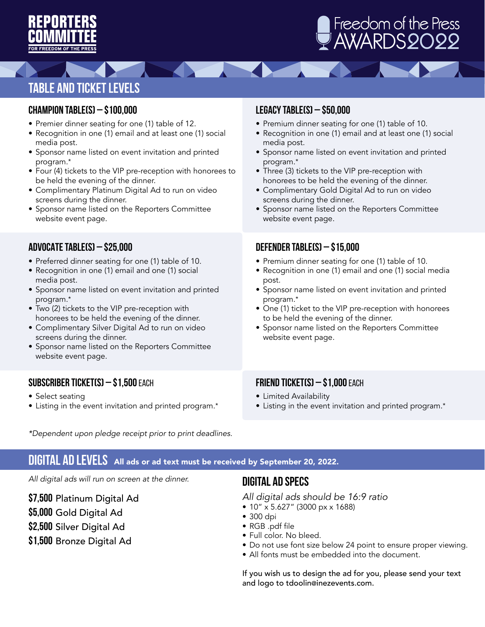

# AWARDS 2022 Freedom of the Press

# **Table and Ticket Levels**

### **CHAMPION TABLE(S) – \$100,000**

- Premier dinner seating for one (1) table of 12.
- Recognition in one (1) email and at least one (1) social media post.

**SALA** 

- Sponsor name listed on event invitation and printed program.\*
- Four (4) tickets to the VIP pre-reception with honorees to be held the evening of the dinner.
- Complimentary Platinum Digital Ad to run on video screens during the dinner.
- Sponsor name listed on the Reporters Committee website event page.

### **ADVOCATE TABLE(S) – \$25,000**

- Preferred dinner seating for one (1) table of 10.
- Recognition in one (1) email and one (1) social media post.
- Sponsor name listed on event invitation and printed program.\*
- Two (2) tickets to the VIP pre-reception with honorees to be held the evening of the dinner.
- Complimentary Silver Digital Ad to run on video screens during the dinner.
- Sponsor name listed on the Reporters Committee website event page.

## **SUBSCRIBER TICKET(S) – \$1,500** each

- Select seating
- Listing in the event invitation and printed program.\*

### **LEGACY TABLE(S) – \$50,000**

- Premium dinner seating for one (1) table of 10.
- Recognition in one (1) email and at least one (1) social media post.
- Sponsor name listed on event invitation and printed program.\*
- Three (3) tickets to the VIP pre-reception with honorees to be held the evening of the dinner.
- Complimentary Gold Digital Ad to run on video screens during the dinner.
- Sponsor name listed on the Reporters Committee website event page.

## **DEFENDER TABLE(S) – \$15,000**

- Premium dinner seating for one (1) table of 10.
- Recognition in one (1) email and one (1) social media post.
- Sponsor name listed on event invitation and printed program.\*
- One (1) ticket to the VIP pre-reception with honorees to be held the evening of the dinner.
- Sponsor name listed on the Reporters Committee website event page.

## **FRIEND TICKET(S) – \$1,000** each

- Limited Availability
- Listing in the event invitation and printed program.\*

*\*Dependent upon pledge receipt prior to print deadlines.*

## DIGITAL AD LEVELS All ads or ad text must be received by September 20, 2022.

*All digital ads will run on screen at the dinner.*

**\$7,500** Platinum Digital Ad

**\$5,000** Gold Digital Ad

**\$2,500** Silver Digital Ad

**\$1,500** Bronze Digital Ad

## **DIGITAL AD SPECS**

*All digital ads should be 16:9 ratio*

- 10" x 5.627" (3000 px x 1688)
- 300 dpi
- RGB .pdf file
- Full color. No bleed.
- Do not use font size below 24 point to ensure proper viewing.
- All fonts must be embedded into the document.

If you wish us to design the ad for you, please send your text and logo to tdoolin@inezevents.com.